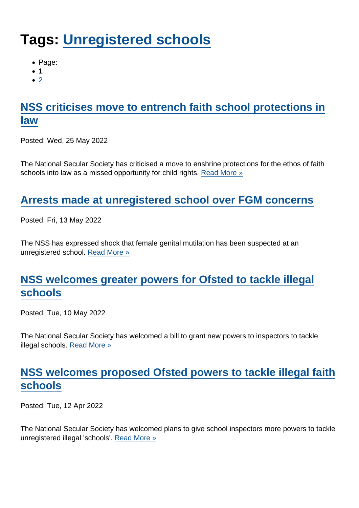# Tags: [Unregistered schools](https://www.secularism.org.uk/news/tags/Unregistered+schools)

- Page:
- 1
- $\bullet$  [2](/mnt/web-data/www/cp-nss/news/tags/Unregistered+schools)

# [NSS criticises move to entrench faith school protections in](https://www.secularism.org.uk/news/2022/05/nss-criticises-move-to-entrench-faith-school-protections-in-law) [law](https://www.secularism.org.uk/news/2022/05/nss-criticises-move-to-entrench-faith-school-protections-in-law)

Posted: Wed, 25 May 2022

The National Secular Society has criticised a move to enshrine protections for the ethos of faith schools into law as a missed opportunity for child rights. [Read More »](https://www.secularism.org.uk/news/2022/05/nss-criticises-move-to-entrench-faith-school-protections-in-law)

## [Arrests made at unregistered school over FGM concerns](https://www.secularism.org.uk/news/2022/05/arrests-made-at-unregistered-school-over-fgm-concerns)

Posted: Fri, 13 May 2022

The NSS has expressed shock that female genital mutilation has been suspected at an unregistered school. [Read More »](https://www.secularism.org.uk/news/2022/05/arrests-made-at-unregistered-school-over-fgm-concerns)

# [NSS welcomes greater powers for Ofsted to tackle illegal](https://www.secularism.org.uk/news/2022/05/nss-welcomes-greater-powers-for-ofsted-to-tackle-illegal-schools) [schools](https://www.secularism.org.uk/news/2022/05/nss-welcomes-greater-powers-for-ofsted-to-tackle-illegal-schools)

Posted: Tue, 10 May 2022

The National Secular Society has welcomed a bill to grant new powers to inspectors to tackle illegal schools. [Read More »](https://www.secularism.org.uk/news/2022/05/nss-welcomes-greater-powers-for-ofsted-to-tackle-illegal-schools)

# [NSS welcomes proposed Ofsted powers to tackle illegal faith](https://www.secularism.org.uk/news/2022/04/nss-welcomes-proposed-ofsted-powers-to-tackle-illegal-faith-schools) [schools](https://www.secularism.org.uk/news/2022/04/nss-welcomes-proposed-ofsted-powers-to-tackle-illegal-faith-schools)

Posted: Tue, 12 Apr 2022

The National Secular Society has welcomed plans to give school inspectors more powers to tackle unregistered illegal 'schools'. [Read More »](https://www.secularism.org.uk/news/2022/04/nss-welcomes-proposed-ofsted-powers-to-tackle-illegal-faith-schools)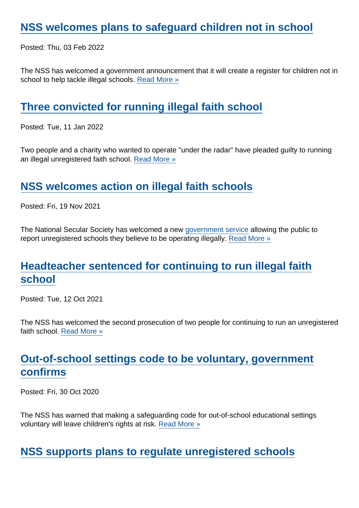#### [NSS welcomes plans to safeguard children not in school](https://www.secularism.org.uk/news/2022/02/nss-welcomes-plans-to-safeguard-children-not-in-school)

Posted: Thu, 03 Feb 2022

The NSS has welcomed a government announcement that it will create a register for children not in school to help tackle illegal schools. [Read More »](https://www.secularism.org.uk/news/2022/02/nss-welcomes-plans-to-safeguard-children-not-in-school)

#### [Three convicted for running illegal faith school](https://www.secularism.org.uk/news/2022/01/three-convicted-for-running-illegal-faith-school)

Posted: Tue, 11 Jan 2022

Two people and a charity who wanted to operate "under the radar" have pleaded guilty to running an illegal unregistered faith school. [Read More »](https://www.secularism.org.uk/news/2022/01/three-convicted-for-running-illegal-faith-school)

#### [NSS welcomes action on illegal faith schools](https://www.secularism.org.uk/news/2021/11/nss-welcomes-action-on-illegal-faith-schools)

Posted: Fri, 19 Nov 2021

The National Secular Society has welcomed a new [government service](https://www.gov.uk/guidance/report-an-unregistered-school) allowing the public to report unregistered schools they believe to be operating illegally. [Read More »](https://www.secularism.org.uk/news/2021/11/nss-welcomes-action-on-illegal-faith-schools)

### [Headteacher sentenced for continuing to run illegal faith](https://www.secularism.org.uk/news/2021/10/headteacher-sentenced-for-continuing-to-run-illegal-faith-school) [school](https://www.secularism.org.uk/news/2021/10/headteacher-sentenced-for-continuing-to-run-illegal-faith-school)

Posted: Tue, 12 Oct 2021

The NSS has welcomed the second prosecution of two people for continuing to run an unregistered faith school. [Read More »](https://www.secularism.org.uk/news/2021/10/headteacher-sentenced-for-continuing-to-run-illegal-faith-school)

# [Out-of-school settings code to be voluntary, government](https://www.secularism.org.uk/news/2020/10/out-of-school-settings-code-to-be-voluntary-government-confirms) [confirms](https://www.secularism.org.uk/news/2020/10/out-of-school-settings-code-to-be-voluntary-government-confirms)

Posted: Fri, 30 Oct 2020

The NSS has warned that making a safeguarding code for out-of-school educational settings voluntary will leave children's rights at risk. [Read More »](https://www.secularism.org.uk/news/2020/10/out-of-school-settings-code-to-be-voluntary-government-confirms)

[NSS supports plans to regulate unregistered schools](https://www.secularism.org.uk/news/2020/05/nss-supports-plans-to-regulate-unregistered-schools)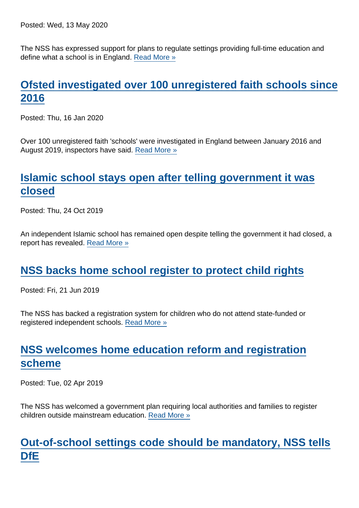Posted: Wed, 13 May 2020

The NSS has expressed support for plans to regulate settings providing full-time education and define what a school is in England. [Read More »](https://www.secularism.org.uk/news/2020/05/nss-supports-plans-to-regulate-unregistered-schools)

# [Ofsted investigated over 100 unregistered faith schools since](https://www.secularism.org.uk/news/2020/01/ofsted-investigated-over-100-unregistered-faith-schools-since-2016) [2016](https://www.secularism.org.uk/news/2020/01/ofsted-investigated-over-100-unregistered-faith-schools-since-2016)

Posted: Thu, 16 Jan 2020

Over 100 unregistered faith 'schools' were investigated in England between January 2016 and August 2019, inspectors have said. [Read More »](https://www.secularism.org.uk/news/2020/01/ofsted-investigated-over-100-unregistered-faith-schools-since-2016)

## [Islamic school stays open after telling government it was](https://www.secularism.org.uk/news/2019/10/islamic-school-stays-open-after-telling-government-it-was-closed) [closed](https://www.secularism.org.uk/news/2019/10/islamic-school-stays-open-after-telling-government-it-was-closed)

Posted: Thu, 24 Oct 2019

An independent Islamic school has remained open despite telling the government it had closed, a report has revealed. [Read More »](https://www.secularism.org.uk/news/2019/10/islamic-school-stays-open-after-telling-government-it-was-closed)

#### [NSS backs home school register to protect child rights](https://www.secularism.org.uk/news/2019/06/nss-backs-home-school-register-to-protect-child-rights)

Posted: Fri, 21 Jun 2019

The NSS has backed a registration system for children who do not attend state-funded or registered independent schools. [Read More »](https://www.secularism.org.uk/news/2019/06/nss-backs-home-school-register-to-protect-child-rights)

## [NSS welcomes home education reform and registration](https://www.secularism.org.uk/news/2019/04/nss-welcomes-home-education-reform-and-registration-scheme) [scheme](https://www.secularism.org.uk/news/2019/04/nss-welcomes-home-education-reform-and-registration-scheme)

Posted: Tue, 02 Apr 2019

The NSS has welcomed a government plan requiring local authorities and families to register children outside mainstream education. [Read More »](https://www.secularism.org.uk/news/2019/04/nss-welcomes-home-education-reform-and-registration-scheme)

# [Out-of-school settings code should be mandatory, NSS tells](https://www.secularism.org.uk/news/2019/03/out-of-school-settings-code-should-be-mandatory-nss-tells-dfe) [DfE](https://www.secularism.org.uk/news/2019/03/out-of-school-settings-code-should-be-mandatory-nss-tells-dfe)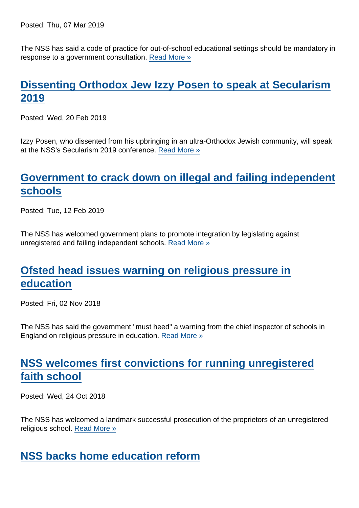Posted: Thu, 07 Mar 2019

The NSS has said a code of practice for out-of-school educational settings should be mandatory in response to a government consultation. [Read More »](https://www.secularism.org.uk/news/2019/03/out-of-school-settings-code-should-be-mandatory-nss-tells-dfe)

# [Dissenting Orthodox Jew Izzy Posen to speak at Secularism](https://www.secularism.org.uk/news/2019/02/dissenting-orthodox-jew-izzy-posen-to-speak-at-secularism-2019) [2019](https://www.secularism.org.uk/news/2019/02/dissenting-orthodox-jew-izzy-posen-to-speak-at-secularism-2019)

Posted: Wed, 20 Feb 2019

Izzy Posen, who dissented from his upbringing in an ultra-Orthodox Jewish community, will speak at the NSS's Secularism 2019 conference. [Read More »](https://www.secularism.org.uk/news/2019/02/dissenting-orthodox-jew-izzy-posen-to-speak-at-secularism-2019)

#### [Government to crack down on illegal and failing independent](https://www.secularism.org.uk/news/2019/02/government-to-crack-down-on-illegal-and-failing-independent-schools) [schools](https://www.secularism.org.uk/news/2019/02/government-to-crack-down-on-illegal-and-failing-independent-schools)

Posted: Tue, 12 Feb 2019

The NSS has welcomed government plans to promote integration by legislating against unregistered and failing independent schools. [Read More »](https://www.secularism.org.uk/news/2019/02/government-to-crack-down-on-illegal-and-failing-independent-schools)

## [Ofsted head issues warning on religious pressure in](https://www.secularism.org.uk/news/2018/11/ofsted-head-issues-warning-on-religious-pressure-in-education) [education](https://www.secularism.org.uk/news/2018/11/ofsted-head-issues-warning-on-religious-pressure-in-education)

Posted: Fri, 02 Nov 2018

The NSS has said the government "must heed" a warning from the chief inspector of schools in England on religious pressure in education. [Read More »](https://www.secularism.org.uk/news/2018/11/ofsted-head-issues-warning-on-religious-pressure-in-education)

## [NSS welcomes first convictions for running unregistered](https://www.secularism.org.uk/news/2018/10/nss-welcomes-first-convictions-for-running-unregistered-faith-school) [faith school](https://www.secularism.org.uk/news/2018/10/nss-welcomes-first-convictions-for-running-unregistered-faith-school)

Posted: Wed, 24 Oct 2018

The NSS has welcomed a landmark successful prosecution of the proprietors of an unregistered religious school. [Read More »](https://www.secularism.org.uk/news/2018/10/nss-welcomes-first-convictions-for-running-unregistered-faith-school)

#### [NSS backs home education reform](https://www.secularism.org.uk/news/2018/07/nss-backs-home-education-reform)